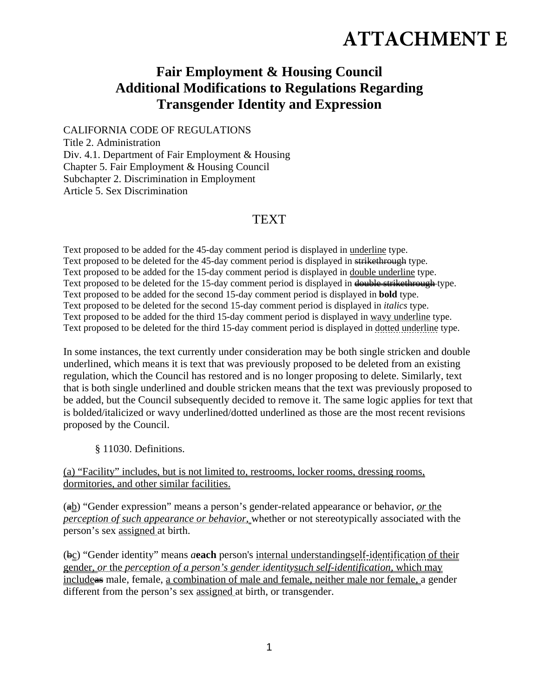## **ATTACHMENT E**

## **Fair Employment & Housing Council Additional Modifications to Regulations Regarding Transgender Identity and Expression**

CALIFORNIA CODE OF REGULATIONS Title 2. Administration Div. 4.1. Department of Fair Employment & Housing Chapter 5. Fair Employment & Housing Council Subchapter 2. Discrimination in Employment Article 5. Sex Discrimination

## **TEXT**

Text proposed to be added for the 45-day comment period is displayed in underline type. Text proposed to be deleted for the 45-day comment period is displayed in strikethrough type. Text proposed to be added for the 15-day comment period is displayed in double underline type. Text proposed to be deleted for the 15-day comment period is displayed in double strikethrough type. Text proposed to be added for the second 15-day comment period is displayed in **bold** type. Text proposed to be deleted for the second 15-day comment period is displayed in *italics* type. Text proposed to be added for the third 15-day comment period is displayed in wavy underline type. Text proposed to be deleted for the third 15-day comment period is displayed in dotted underline type.

In some instances, the text currently under consideration may be both single stricken and double underlined, which means it is text that was previously proposed to be deleted from an existing regulation, which the Council has restored and is no longer proposing to delete. Similarly, text that is both single underlined and double stricken means that the text was previously proposed to be added, but the Council subsequently decided to remove it. The same logic applies for text that is bolded/italicized or wavy underlined/dotted underlined as those are the most recent revisions proposed by the Council.

§ 11030. Definitions.

(a) "Facility" includes, but is not limited to, restrooms, locker rooms, dressing rooms, dormitories, and other similar facilities.

(ab) "Gender expression" means a person's gender-related appearance or behavior, *or* the *perception of such appearance or behavior,* whether or not stereotypically associated with the person's sex assigned at birth.

(bc) "Gender identity" means *a***each** person's internal understandingself-identification of their gender, *or* the *perception of a person's gender identitysuch self-identification,* which may includeas male, female, a combination of male and female, neither male nor female, a gender different from the person's sex assigned at birth, or transgender.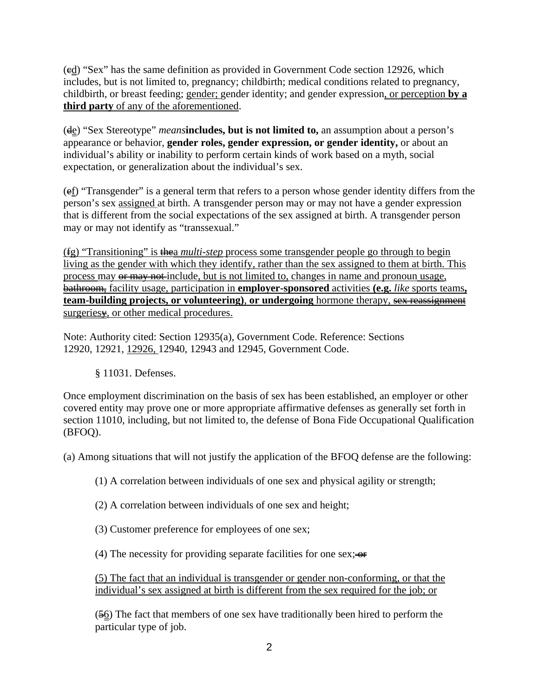(cd) "Sex" has the same definition as provided in Government Code section 12926, which includes, but is not limited to, pregnancy; childbirth; medical conditions related to pregnancy, childbirth, or breast feeding; gender; gender identity; and gender expression, or perception **by a third party** of any of the aforementioned.

(de) "Sex Stereotype" *means***includes, but is not limited to,** an assumption about a person's appearance or behavior, **gender roles, gender expression, or gender identity,** or about an individual's ability or inability to perform certain kinds of work based on a myth, social expectation, or generalization about the individual's sex.

(ef) "Transgender" is a general term that refers to a person whose gender identity differs from the person's sex assigned at birth. A transgender person may or may not have a gender expression that is different from the social expectations of the sex assigned at birth. A transgender person may or may not identify as "transsexual."

(fg) "Transitioning" is thea *multi-step* process some transgender people go through to begin living as the gender with which they identify, rather than the sex assigned to them at birth. This process may  $\theta$  may not include, but is not limited to, changes in name and pronoun usage, bathroom, facility usage, participation in **employer-sponsored** activities **(e.g.** *like* sports teams**, team-building projects, or volunteering), or undergoing** hormone therapy, sex reassignment surgeries $\frac{1}{2}$ , or other medical procedures.

Note: Authority cited: Section 12935(a), Government Code. Reference: Sections 12920, 12921, 12926, 12940, 12943 and 12945, Government Code.

## § 11031. Defenses.

Once employment discrimination on the basis of sex has been established, an employer or other covered entity may prove one or more appropriate affirmative defenses as generally set forth in section 11010, including, but not limited to, the defense of Bona Fide Occupational Qualification (BFOQ).

(a) Among situations that will not justify the application of the BFOQ defense are the following:

(1) A correlation between individuals of one sex and physical agility or strength;

(2) A correlation between individuals of one sex and height;

(3) Customer preference for employees of one sex;

(4) The necessity for providing separate facilities for one sex;  $\leftrightarrow$ 

(5) The fact that an individual is transgender or gender non-conforming, or that the individual's sex assigned at birth is different from the sex required for the job; or

 $(56)$  The fact that members of one sex have traditionally been hired to perform the particular type of job.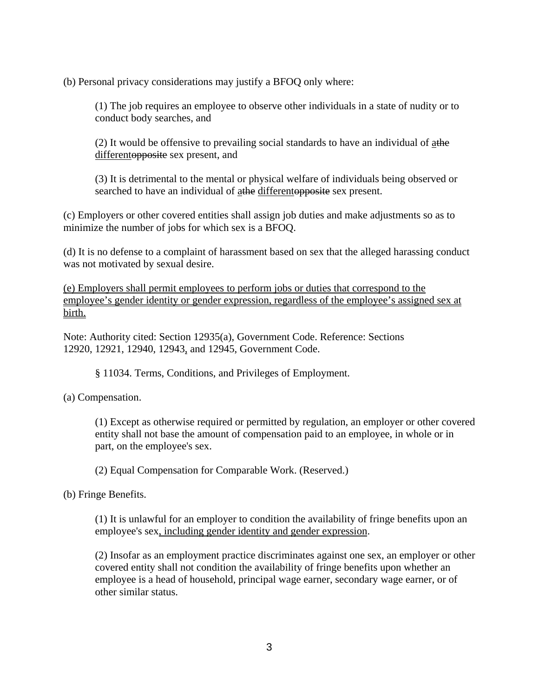(b) Personal privacy considerations may justify a BFOQ only where:

(1) The job requires an employee to observe other individuals in a state of nudity or to conduct body searches, and

(2) It would be offensive to prevailing social standards to have an individual of athe differentopposite sex present, and

(3) It is detrimental to the mental or physical welfare of individuals being observed or searched to have an individual of athe differentopposite sex present.

(c) Employers or other covered entities shall assign job duties and make adjustments so as to minimize the number of jobs for which sex is a BFOQ.

(d) It is no defense to a complaint of harassment based on sex that the alleged harassing conduct was not motivated by sexual desire.

(e) Employers shall permit employees to perform jobs or duties that correspond to the employee's gender identity or gender expression, regardless of the employee's assigned sex at birth.

Note: Authority cited: Section 12935(a), Government Code. Reference: Sections 12920, 12921, 12940, 12943, and 12945, Government Code.

§ 11034. Terms, Conditions, and Privileges of Employment.

(a) Compensation.

(1) Except as otherwise required or permitted by regulation, an employer or other covered entity shall not base the amount of compensation paid to an employee, in whole or in part, on the employee's sex.

(2) Equal Compensation for Comparable Work. (Reserved.)

(b) Fringe Benefits.

(1) It is unlawful for an employer to condition the availability of fringe benefits upon an employee's sex, including gender identity and gender expression.

(2) Insofar as an employment practice discriminates against one sex, an employer or other covered entity shall not condition the availability of fringe benefits upon whether an employee is a head of household, principal wage earner, secondary wage earner, or of other similar status.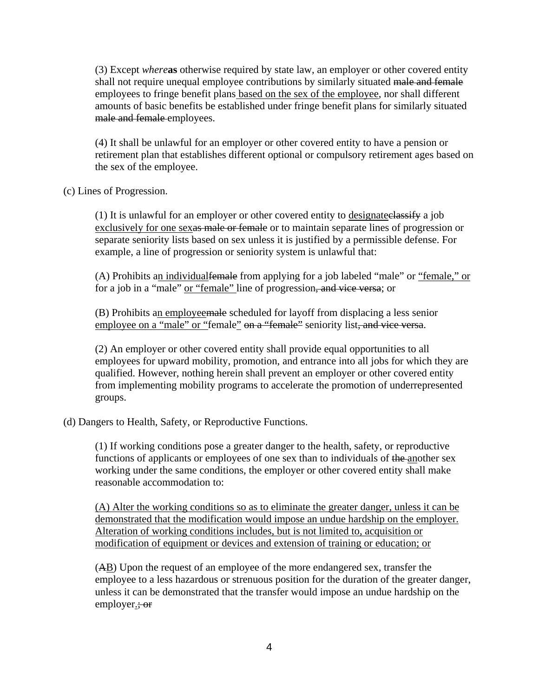(3) Except *where***as** otherwise required by state law, an employer or other covered entity shall not require unequal employee contributions by similarly situated male and female employees to fringe benefit plans based on the sex of the employee, nor shall different amounts of basic benefits be established under fringe benefit plans for similarly situated male and female employees.

(4) It shall be unlawful for an employer or other covered entity to have a pension or retirement plan that establishes different optional or compulsory retirement ages based on the sex of the employee.

(c) Lines of Progression.

(1) It is unlawful for an employer or other covered entity to designateclassify a job exclusively for one sexas male or female or to maintain separate lines of progression or separate seniority lists based on sex unless it is justified by a permissible defense. For example, a line of progression or seniority system is unlawful that:

(A) Prohibits an individualfemale from applying for a job labeled "male" or "female," or for a job in a "male" <u>or "female"</u> line of progression<del>, and vice versa</del>; or

(B) Prohibits an employeemale scheduled for layoff from displacing a less senior employee on a "male" or "female" on a "female" seniority list, and vice versa.

(2) An employer or other covered entity shall provide equal opportunities to all employees for upward mobility, promotion, and entrance into all jobs for which they are qualified. However, nothing herein shall prevent an employer or other covered entity from implementing mobility programs to accelerate the promotion of underrepresented groups.

(d) Dangers to Health, Safety, or Reproductive Functions.

(1) If working conditions pose a greater danger to the health, safety, or reproductive functions of applicants or employees of one sex than to individuals of the another sex working under the same conditions, the employer or other covered entity shall make reasonable accommodation to:

(A) Alter the working conditions so as to eliminate the greater danger, unless it can be demonstrated that the modification would impose an undue hardship on the employer. Alteration of working conditions includes, but is not limited to, acquisition or modification of equipment or devices and extension of training or education; or

(AB) Upon the request of an employee of the more endangered sex, transfer the employee to a less hazardous or strenuous position for the duration of the greater danger, unless it can be demonstrated that the transfer would impose an undue hardship on the employer.; or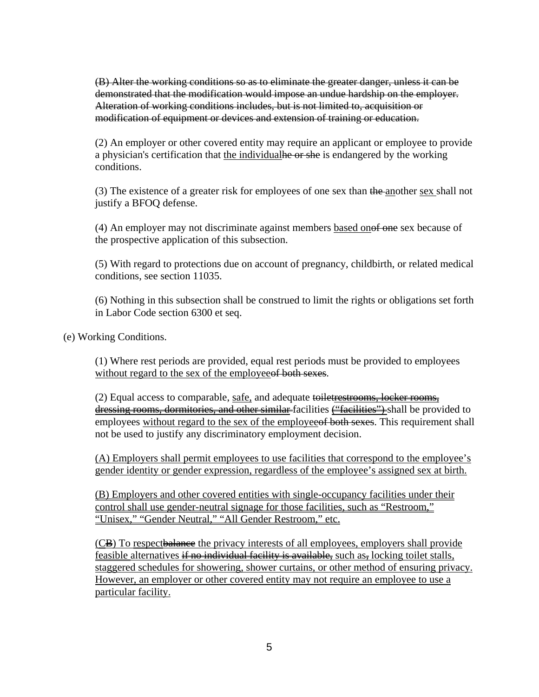(B) Alter the working conditions so as to eliminate the greater danger, unless it can be demonstrated that the modification would impose an undue hardship on the employer. Alteration of working conditions includes, but is not limited to, acquisition or modification of equipment or devices and extension of training or education.

(2) An employer or other covered entity may require an applicant or employee to provide a physician's certification that the individualle or she is endangered by the working conditions.

(3) The existence of a greater risk for employees of one sex than the another sex shall not justify a BFOQ defense.

(4) An employer may not discriminate against members based onof one sex because of the prospective application of this subsection.

(5) With regard to protections due on account of pregnancy, childbirth, or related medical conditions, see section 11035.

(6) Nothing in this subsection shall be construed to limit the rights or obligations set forth in Labor Code section 6300 et seq.

(e) Working Conditions.

(1) Where rest periods are provided, equal rest periods must be provided to employees without regard to the sex of the employee of both sexes.

(2) Equal access to comparable, safe, and adequate toiletrestrooms, locker rooms, dressing rooms, dormitories, and other similar-facilities ("facilities") shall be provided to employees without regard to the sex of the employee of both sexes. This requirement shall not be used to justify any discriminatory employment decision.

(A) Employers shall permit employees to use facilities that correspond to the employee's gender identity or gender expression, regardless of the employee's assigned sex at birth.

(B) Employers and other covered entities with single-occupancy facilities under their control shall use gender-neutral signage for those facilities, such as "Restroom," "Unisex," "Gender Neutral," "All Gender Restroom," etc.

(CB) To respectbalance the privacy interests of all employees, employers shall provide feasible alternatives if no individual facility is available, such as, locking toilet stalls, staggered schedules for showering, shower curtains, or other method of ensuring privacy. However, an employer or other covered entity may not require an employee to use a particular facility.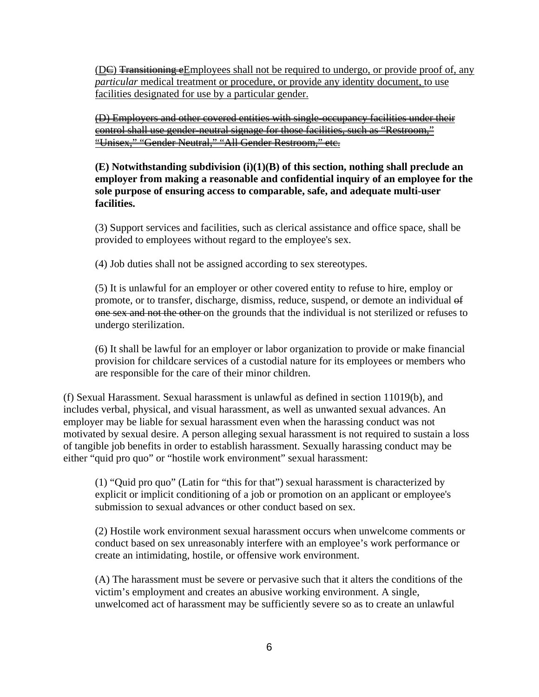$(DE)$  Transitioning eEmployees shall not be required to undergo, or provide proof of, any *particular* medical treatment <u>or procedure, or provide any identity document</u>, to use facilities designated for use by a particular gender.

(D) Employers and other covered entities with single-occupancy facilities under their control shall use gender-neutral signage for those facilities, such as "Restroom," "Unisex," "Gender Neutral," "All Gender Restroom," etc.

**(E) Notwithstanding subdivision (i)(1)(B) of this section, nothing shall preclude an employer from making a reasonable and confidential inquiry of an employee for the sole purpose of ensuring access to comparable, safe, and adequate multi-user facilities.** 

(3) Support services and facilities, such as clerical assistance and office space, shall be provided to employees without regard to the employee's sex.

(4) Job duties shall not be assigned according to sex stereotypes.

(5) It is unlawful for an employer or other covered entity to refuse to hire, employ or promote, or to transfer, discharge, dismiss, reduce, suspend, or demote an individual of one sex and not the other on the grounds that the individual is not sterilized or refuses to undergo sterilization.

(6) It shall be lawful for an employer or labor organization to provide or make financial provision for childcare services of a custodial nature for its employees or members who are responsible for the care of their minor children.

(f) Sexual Harassment. Sexual harassment is unlawful as defined in section 11019(b), and includes verbal, physical, and visual harassment, as well as unwanted sexual advances. An employer may be liable for sexual harassment even when the harassing conduct was not motivated by sexual desire. A person alleging sexual harassment is not required to sustain a loss of tangible job benefits in order to establish harassment. Sexually harassing conduct may be either "quid pro quo" or "hostile work environment" sexual harassment:

(1) "Quid pro quo" (Latin for "this for that") sexual harassment is characterized by explicit or implicit conditioning of a job or promotion on an applicant or employee's submission to sexual advances or other conduct based on sex.

(2) Hostile work environment sexual harassment occurs when unwelcome comments or conduct based on sex unreasonably interfere with an employee's work performance or create an intimidating, hostile, or offensive work environment.

(A) The harassment must be severe or pervasive such that it alters the conditions of the victim's employment and creates an abusive working environment. A single, unwelcomed act of harassment may be sufficiently severe so as to create an unlawful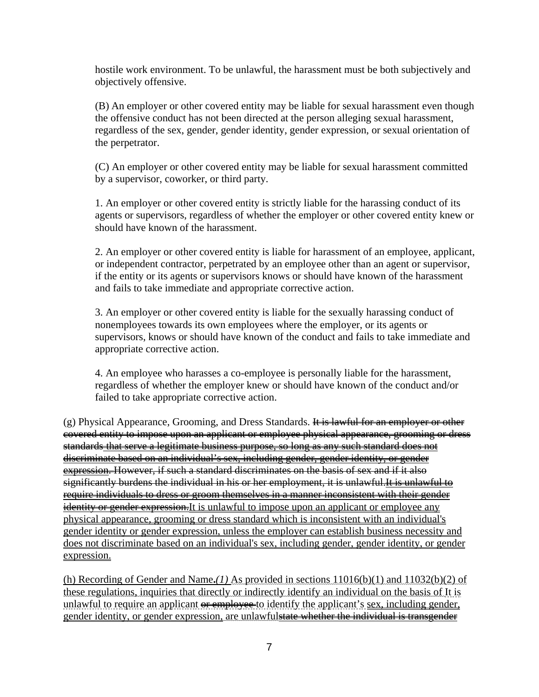hostile work environment. To be unlawful, the harassment must be both subjectively and objectively offensive.

(B) An employer or other covered entity may be liable for sexual harassment even though the offensive conduct has not been directed at the person alleging sexual harassment, regardless of the sex, gender, gender identity, gender expression, or sexual orientation of the perpetrator.

(C) An employer or other covered entity may be liable for sexual harassment committed by a supervisor, coworker, or third party.

1. An employer or other covered entity is strictly liable for the harassing conduct of its agents or supervisors, regardless of whether the employer or other covered entity knew or should have known of the harassment.

2. An employer or other covered entity is liable for harassment of an employee, applicant, or independent contractor, perpetrated by an employee other than an agent or supervisor, if the entity or its agents or supervisors knows or should have known of the harassment and fails to take immediate and appropriate corrective action.

3. An employer or other covered entity is liable for the sexually harassing conduct of nonemployees towards its own employees where the employer, or its agents or supervisors, knows or should have known of the conduct and fails to take immediate and appropriate corrective action.

4. An employee who harasses a co-employee is personally liable for the harassment, regardless of whether the employer knew or should have known of the conduct and/or failed to take appropriate corrective action.

(g) Physical Appearance, Grooming, and Dress Standards. It is lawful for an employer or other covered entity to impose upon an applicant or employee physical appearance, grooming or dress standards that serve a legitimate business purpose, so long as any such standard does not discriminate based on an individual's sex, including gender, gender identity, or gender expression. However, if such a standard discriminates on the basis of sex and if it also significantly burdens the individual in his or her employment, it is unlawful. It is unlawful to require individuals to dress or groom themselves in a manner inconsistent with their gender identity or gender expression. It is unlawful to impose upon an applicant or employee any physical appearance, grooming or dress standard which is inconsistent with an individual's gender identity or gender expression, unless the employer can establish business necessity and does not discriminate based on an individual's sex, including gender, gender identity, or gender expression.

(h) Recording of Gender and Name**.***(1)* As provided in sections 11016(b)(1) and 11032(b)(2) of these regulations, inquiries that directly or indirectly identify an individual on the basis of It is unlawful to require an applicant or employee to identify the applicant's sex, including gender, gender identity, or gender expression, are unlawfulstate whether the individual is transgender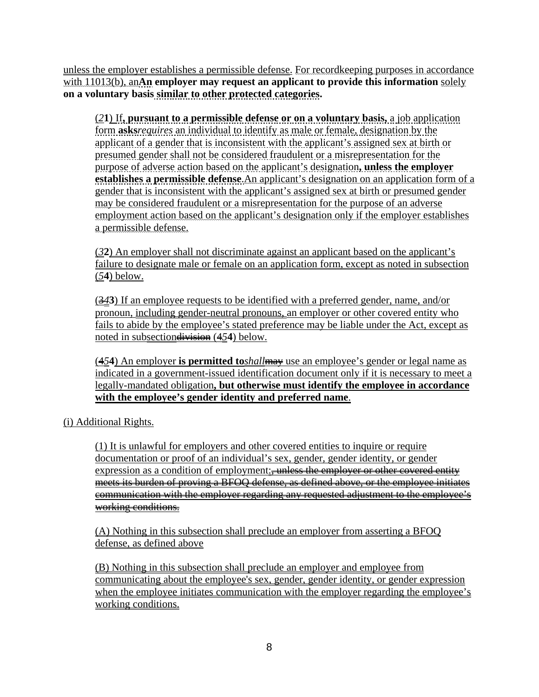unless the employer establishes a permissible defense. For recordkeeping purposes in accordance with 11013(b), an**An employer may request an applicant to provide this information** solely **on a voluntary basis similar to other protected categories.**

(*2***1**) If**, pursuant to a permissible defense or on a voluntary basis,** a job application form **asks***requires* an individual to identify as male or female, designation by the applicant of a gender that is inconsistent with the applicant's assigned sex at birth or presumed gender shall not be considered fraudulent or a misrepresentation for the purpose of adverse action based on the applicant's designation**, unless the employer establishes a permissible defense**.An applicant's designation on an application form of a gender that is inconsistent with the applicant's assigned sex at birth or presumed gender may be considered fraudulent or a misrepresentation for the purpose of an adverse employment action based on the applicant's designation only if the employer establishes a permissible defense.

(*3***2**) An employer shall not discriminate against an applicant based on the applicant's failure to designate male or female on an application form, except as noted in subsection (*5***4**) below.

(3*4***3**) If an employee requests to be identified with a preferred gender, name, and/or pronoun, including gender-neutral pronouns, an employer or other covered entity who fails to abide by the employee's stated preference may be liable under the Act, except as noted in subsectiondivision (4*5***4**) below.

(4*5***4**) An employer **is permitted to***shall*may use an employee's gender or legal name as indicated in a government-issued identification document only if it is necessary to meet a legally-mandated obligation**, but otherwise must identify the employee in accordance with the employee's gender identity and preferred name**.

(i) Additional Rights.

(1) It is unlawful for employers and other covered entities to inquire or require documentation or proof of an individual's sex, gender, gender identity, or gender expression as a condition of employment: unless the employer or other covered entity meets its burden of proving a BFOQ defense, as defined above, or the employee initiates communication with the employer regarding any requested adjustment to the employee's working conditions.

(A) Nothing in this subsection shall preclude an employer from asserting a BFOQ defense, as defined above

(B) Nothing in this subsection shall preclude an employer and employee from communicating about the employee's sex, gender, gender identity, or gender expression when the employee initiates communication with the employer regarding the employee's working conditions.